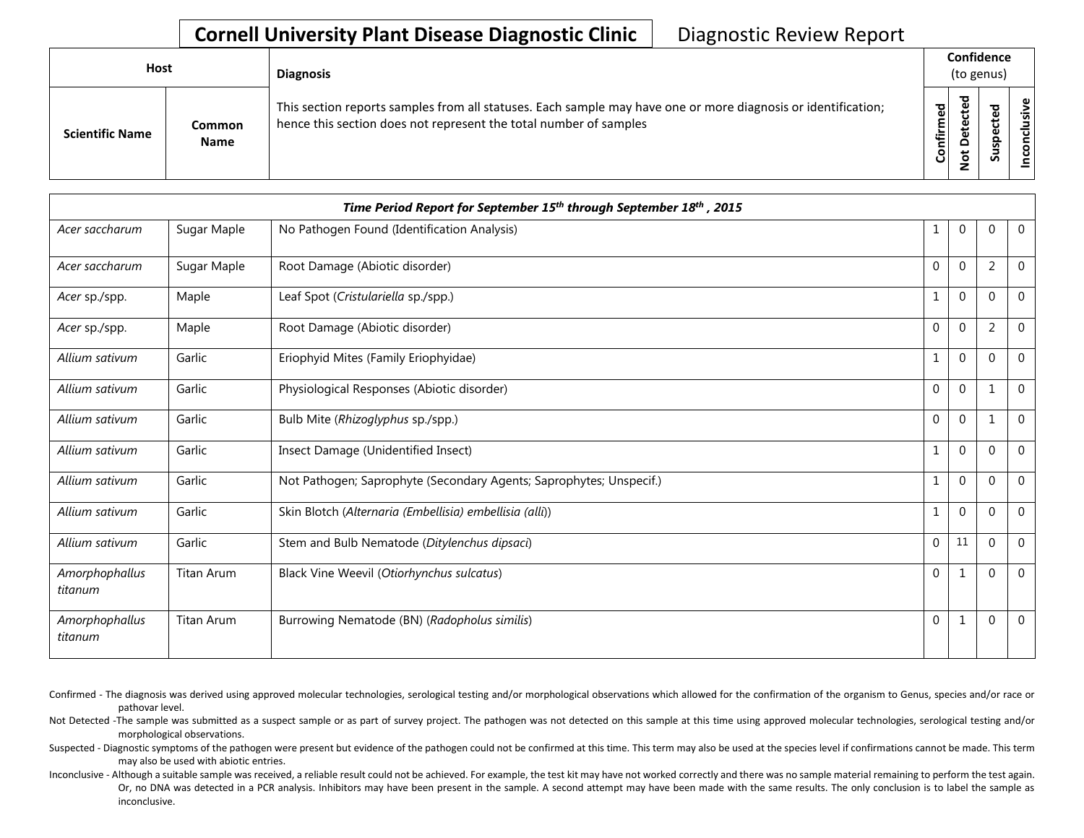| <b>Host</b>            |                | <b>Diagnosis</b>                                                                                                                                                                   |           | Confidence<br>(to genus) |        |                  |  |
|------------------------|----------------|------------------------------------------------------------------------------------------------------------------------------------------------------------------------------------|-----------|--------------------------|--------|------------------|--|
| <b>Scientific Name</b> | Common<br>Name | This section reports samples from all statuses. Each sample may have one or more diagnosis or identification;<br>hence this section does not represent the total number of samples | Confirmed | ᇃ<br>$\Omega$            | š<br>n | usive<br>ē<br>co |  |

| Time Period Report for September 15 <sup>th</sup> through September 18 <sup>th</sup> , 2015 |                   |                                                                     |                  |                |                |                |  |  |  |
|---------------------------------------------------------------------------------------------|-------------------|---------------------------------------------------------------------|------------------|----------------|----------------|----------------|--|--|--|
| Acer saccharum                                                                              | Sugar Maple       | No Pathogen Found (Identification Analysis)                         | 1                | $\overline{0}$ | $\mathbf{0}$   | $\mathbf 0$    |  |  |  |
| Acer saccharum                                                                              | Sugar Maple       | Root Damage (Abiotic disorder)                                      | $\boldsymbol{0}$ | $\overline{0}$ | $\overline{2}$ | 0              |  |  |  |
| Acer sp./spp.                                                                               | Maple             | Leaf Spot (Cristulariella sp./spp.)                                 | 1                | $\mathbf{0}$   | $\mathbf 0$    | $\Omega$       |  |  |  |
| Acer sp./spp.                                                                               | Maple             | Root Damage (Abiotic disorder)                                      | $\mathbf{0}$     | $\overline{0}$ | $\overline{2}$ | $\Omega$       |  |  |  |
| Allium sativum                                                                              | Garlic            | Eriophyid Mites (Family Eriophyidae)                                | 1                | $\Omega$       | $\Omega$       | $\Omega$       |  |  |  |
| Allium sativum                                                                              | Garlic            | Physiological Responses (Abiotic disorder)                          | $\mathbf{0}$     | $\overline{0}$ | $\mathbf 1$    | $\Omega$       |  |  |  |
| Allium sativum                                                                              | Garlic            | Bulb Mite (Rhizoglyphus sp./spp.)                                   | $\mathbf 0$      | $\overline{0}$ | $\mathbf{1}$   | $\Omega$       |  |  |  |
| Allium sativum                                                                              | Garlic            | Insect Damage (Unidentified Insect)                                 | 1                | $\overline{0}$ | $\Omega$       | $\Omega$       |  |  |  |
| Allium sativum                                                                              | Garlic            | Not Pathogen; Saprophyte (Secondary Agents; Saprophytes; Unspecif.) | 1                | $\overline{0}$ | $\mathbf 0$    | $\mathbf{0}$   |  |  |  |
| Allium sativum                                                                              | Garlic            | Skin Blotch (Alternaria (Embellisia) embellisia (alli))             | 1                | $\mathbf 0$    | $\mathbf{0}$   | $\Omega$       |  |  |  |
| Allium sativum                                                                              | Garlic            | Stem and Bulb Nematode (Ditylenchus dipsaci)                        | $\mathbf{0}$     | 11             | $\mathbf 0$    | $\overline{0}$ |  |  |  |
| Amorphophallus<br>titanum                                                                   | Titan Arum        | Black Vine Weevil (Otiorhynchus sulcatus)                           | 0                |                | $\mathbf{0}$   | $\Omega$       |  |  |  |
| Amorphophallus<br>titanum                                                                   | <b>Titan Arum</b> | Burrowing Nematode (BN) (Radopholus similis)                        | $\mathbf 0$      |                | $\mathbf{0}$   | $\mathbf 0$    |  |  |  |

- Confirmed The diagnosis was derived using approved molecular technologies, serological testing and/or morphological observations which allowed for the confirmation of the organism to Genus, species and/or race or pathovar level.
- Not Detected -The sample was submitted as a suspect sample or as part of survey project. The pathogen was not detected on this sample at this time using approved molecular technologies, serological testing and/or morphological observations.
- Suspected Diagnostic symptoms of the pathogen were present but evidence of the pathogen could not be confirmed at this time. This term may also be used at the species level if confirmations cannot be made. This term may also be used with abiotic entries.
- Inconclusive Although a suitable sample was received, a reliable result could not be achieved. For example, the test kit may have not worked correctly and there was no sample material remaining to perform the test again. Or, no DNA was detected in a PCR analysis. Inhibitors may have been present in the sample. A second attempt may have been made with the same results. The only conclusion is to label the sample as inconclusive.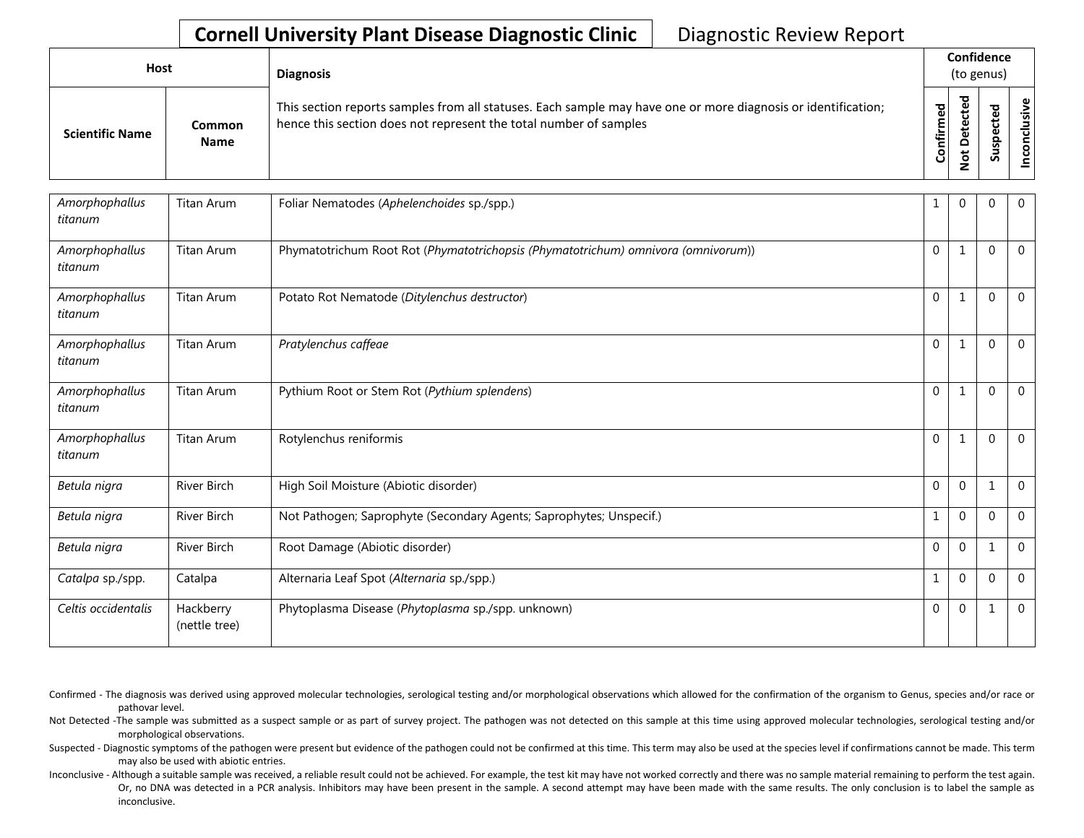| Host |                        |                       | <b>Diagnosis</b>                                                                                                                                                                   |                | Confidence<br>(to genus) |        |  |
|------|------------------------|-----------------------|------------------------------------------------------------------------------------------------------------------------------------------------------------------------------------|----------------|--------------------------|--------|--|
|      | <b>Scientific Name</b> | Common<br><b>Name</b> | This section reports samples from all statuses. Each sample may have one or more diagnosis or identification;<br>hence this section does not represent the total number of samples | irmed<br>Confi | ъ<br>o<br>-              | ਠ<br>Ū |  |

| Amorphophallus<br>titanum | Titan Arum                 | Foliar Nematodes (Aphelenchoides sp./spp.)                                        |              | 0              | $\Omega$       | $\Omega$     |
|---------------------------|----------------------------|-----------------------------------------------------------------------------------|--------------|----------------|----------------|--------------|
| Amorphophallus<br>titanum | <b>Titan Arum</b>          | Phymatotrichum Root Rot (Phymatotrichopsis (Phymatotrichum) omnivora (omnivorum)) | 0            |                | $\overline{0}$ | $\mathbf{0}$ |
| Amorphophallus<br>titanum | Titan Arum                 | Potato Rot Nematode (Ditylenchus destructor)                                      | $\Omega$     |                | $\Omega$       | $\mathbf{0}$ |
| Amorphophallus<br>titanum | <b>Titan Arum</b>          | Pratylenchus caffeae                                                              | $\Omega$     |                | $\Omega$       | $\Omega$     |
| Amorphophallus<br>titanum | Titan Arum                 | Pythium Root or Stem Rot (Pythium splendens)                                      | $\Omega$     |                | $\mathbf{0}$   | $\Omega$     |
| Amorphophallus<br>titanum | <b>Titan Arum</b>          | Rotylenchus reniformis                                                            | $\Omega$     | 1              | $\Omega$       | $\mathbf{0}$ |
| Betula nigra              | <b>River Birch</b>         | High Soil Moisture (Abiotic disorder)                                             | $\mathbf{0}$ | 0              | 1              | $\mathbf{0}$ |
| Betula nigra              | River Birch                | Not Pathogen; Saprophyte (Secondary Agents; Saprophytes; Unspecif.)               |              | $\overline{0}$ | $\mathbf{0}$   | $\mathbf 0$  |
| Betula nigra              | River Birch                | Root Damage (Abiotic disorder)                                                    | 0            | 0              | 1              | $\mathbf 0$  |
| Catalpa sp./spp.          | Catalpa                    | Alternaria Leaf Spot (Alternaria sp./spp.)                                        | 1            | 0              | $\overline{0}$ | $\mathbf 0$  |
| Celtis occidentalis       | Hackberry<br>(nettle tree) | Phytoplasma Disease (Phytoplasma sp./spp. unknown)                                | 0            | 0              | 1              | $\Omega$     |

Confirmed - The diagnosis was derived using approved molecular technologies, serological testing and/or morphological observations which allowed for the confirmation of the organism to Genus, species and/or race or pathovar level.

Not Detected -The sample was submitted as a suspect sample or as part of survey project. The pathogen was not detected on this sample at this time using approved molecular technologies, serological testing and/or morphological observations.

Suspected - Diagnostic symptoms of the pathogen were present but evidence of the pathogen could not be confirmed at this time. This term may also be used at the species level if confirmations cannot be made. This term may also be used with abiotic entries.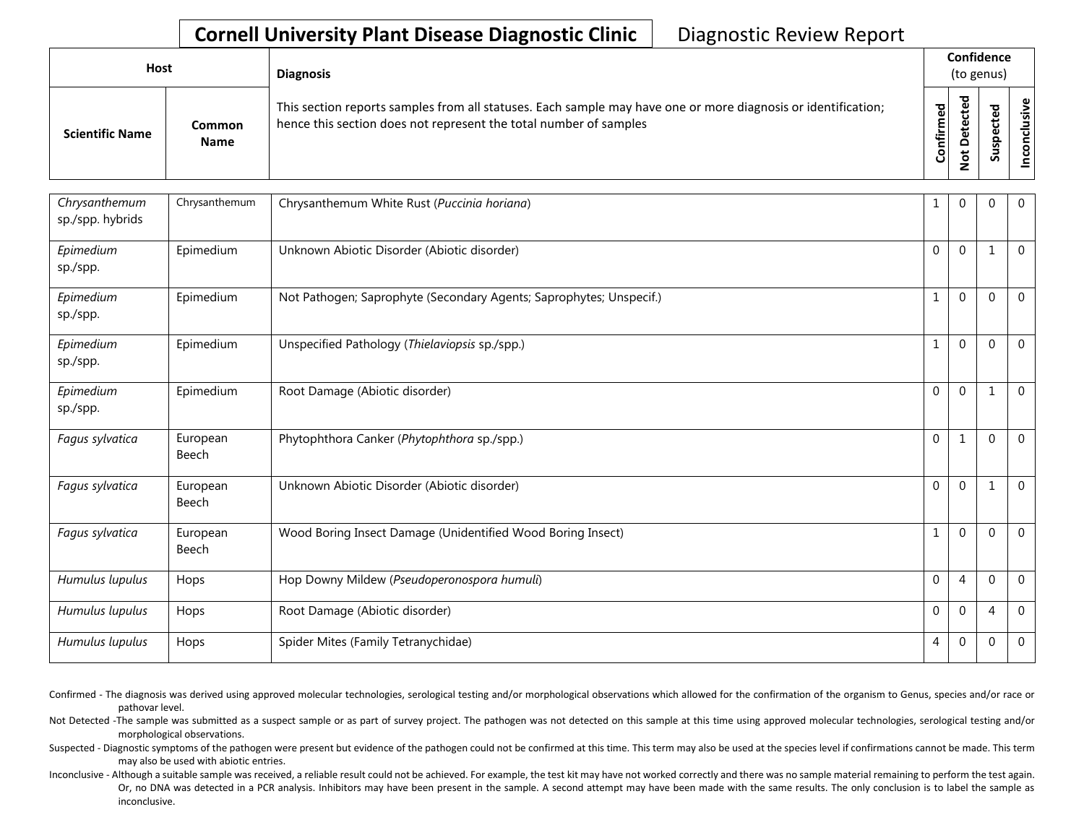| Host                   |                       | <b>Diagnosis</b>                                                                                                                                                                   |           |        |  |                       |  | Confidence<br>(to genus) |  |  |
|------------------------|-----------------------|------------------------------------------------------------------------------------------------------------------------------------------------------------------------------------|-----------|--------|--|-----------------------|--|--------------------------|--|--|
| <b>Scientific Name</b> | Common<br><b>Name</b> | This section reports samples from all statuses. Each sample may have one or more diagnosis or identification;<br>hence this section does not represent the total number of samples | Confirmed | ᇃ<br>c |  | usive<br>᠊ᠣ<br>c<br>g |  |                          |  |  |

| Chrysanthemum<br>sp./spp. hybrids | Chrysanthemum     | Chrysanthemum White Rust (Puccinia horiana)                         | 1              | $\Omega$       | $\Omega$     | $\mathbf 0$    |
|-----------------------------------|-------------------|---------------------------------------------------------------------|----------------|----------------|--------------|----------------|
| Epimedium<br>sp./spp.             | Epimedium         | Unknown Abiotic Disorder (Abiotic disorder)                         | $\mathbf{0}$   | $\mathbf{0}$   | $\mathbf{1}$ | $\Omega$       |
| Epimedium<br>sp./spp.             | Epimedium         | Not Pathogen; Saprophyte (Secondary Agents; Saprophytes; Unspecif.) | $\mathbf{1}$   | $\Omega$       | $\Omega$     | $\overline{0}$ |
| Epimedium<br>sp./spp.             | Epimedium         | Unspecified Pathology (Thielaviopsis sp./spp.)                      | $\mathbf{1}$   | $\Omega$       | $\Omega$     | $\overline{0}$ |
| Epimedium<br>sp./spp.             | Epimedium         | Root Damage (Abiotic disorder)                                      | $\mathbf 0$    | $\Omega$       | 1            | $\mathbf{0}$   |
| Fagus sylvatica                   | European<br>Beech | Phytophthora Canker (Phytophthora sp./spp.)                         | $\mathbf{0}$   | 1              | $\Omega$     | $\overline{0}$ |
| Fagus sylvatica                   | European<br>Beech | Unknown Abiotic Disorder (Abiotic disorder)                         | $\mathbf{0}$   | $\Omega$       | 1            | $\mathbf 0$    |
| Fagus sylvatica                   | European<br>Beech | Wood Boring Insect Damage (Unidentified Wood Boring Insect)         | $\mathbf{1}$   | $\mathbf{0}$   | $\Omega$     | $\mathbf{0}$   |
| Humulus lupulus                   | Hops              | Hop Downy Mildew (Pseudoperonospora humuli)                         | $\mathbf{0}$   | $\overline{4}$ | $\Omega$     | $\mathbf{0}$   |
| Humulus lupulus                   | Hops              | Root Damage (Abiotic disorder)                                      | $\Omega$       | $\Omega$       | 4            | $\mathbf{0}$   |
| Humulus lupulus                   | Hops              | Spider Mites (Family Tetranychidae)                                 | $\overline{4}$ | $\mathbf{0}$   | $\mathbf 0$  | $\mathbf{0}$   |
|                                   |                   |                                                                     |                |                |              |                |

Confirmed - The diagnosis was derived using approved molecular technologies, serological testing and/or morphological observations which allowed for the confirmation of the organism to Genus, species and/or race or pathovar level.

Not Detected -The sample was submitted as a suspect sample or as part of survey project. The pathogen was not detected on this sample at this time using approved molecular technologies, serological testing and/or morphological observations.

Suspected - Diagnostic symptoms of the pathogen were present but evidence of the pathogen could not be confirmed at this time. This term may also be used at the species level if confirmations cannot be made. This term may also be used with abiotic entries.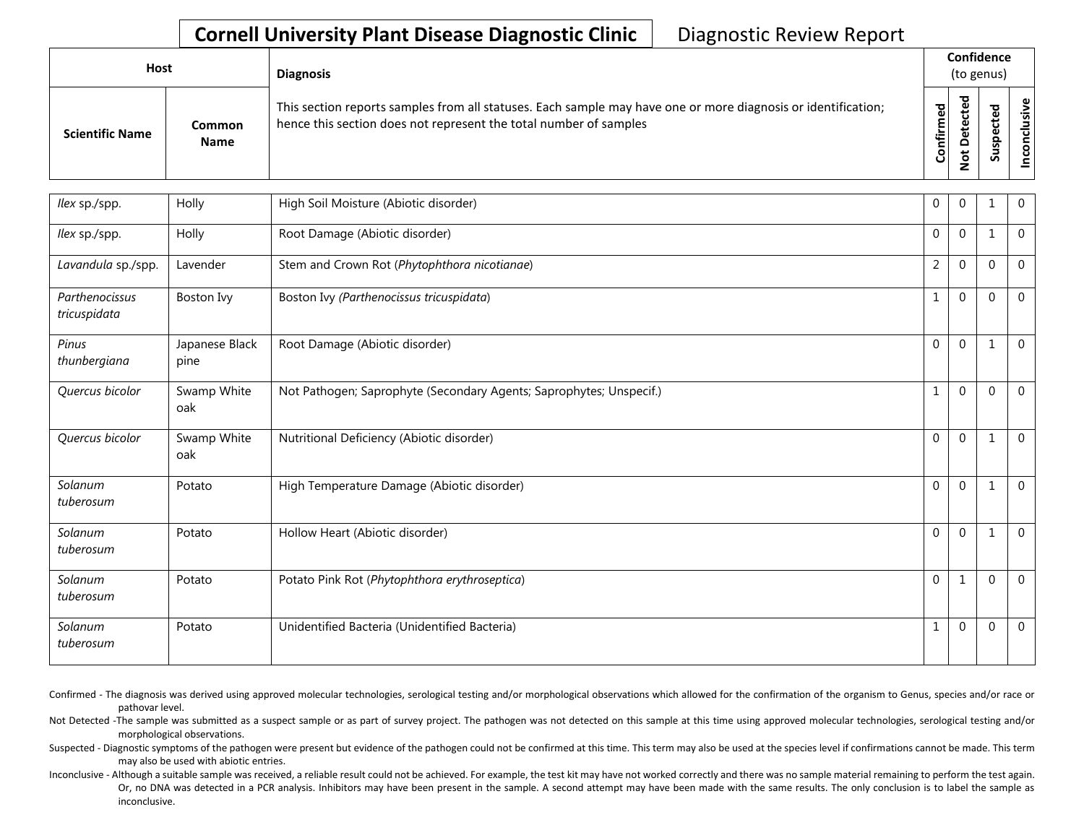| Host                   |                       | <b>Diagnosis</b>                                                                                                                                                                   |                          |                                  | Confidence<br>(to genus) |             |
|------------------------|-----------------------|------------------------------------------------------------------------------------------------------------------------------------------------------------------------------------|--------------------------|----------------------------------|--------------------------|-------------|
| <b>Scientific Name</b> | Common<br><b>Name</b> | This section reports samples from all statuses. Each sample may have one or more diagnosis or identification;<br>hence this section does not represent the total number of samples | ᇴ<br>Φ<br>Ē<br>tir<br>ပြ | ᇃ<br>Φ<br>u<br>Φ<br>۵<br>$\circ$ | ௨<br>s<br>ഗ              | ω<br>s<br>8 |

| llex sp./spp.                  | Holly                  | High Soil Moisture (Abiotic disorder)                               | $\mathbf{0}$   | $\Omega$     |                | $\mathbf 0$    |
|--------------------------------|------------------------|---------------------------------------------------------------------|----------------|--------------|----------------|----------------|
| llex sp./spp.                  | Holly                  | Root Damage (Abiotic disorder)                                      | $\mathbf 0$    | $\mathbf{0}$ | 1              | $\overline{0}$ |
| Lavandula sp./spp.             | Lavender               | Stem and Crown Rot (Phytophthora nicotianae)                        | $\overline{2}$ | $\Omega$     | $\Omega$       | $\mathbf 0$    |
| Parthenocissus<br>tricuspidata | Boston Ivy             | Boston Ivy (Parthenocissus tricuspidata)                            | $\mathbf{1}$   | $\mathbf{0}$ | $\Omega$       | $\overline{0}$ |
| Pinus<br>thunbergiana          | Japanese Black<br>pine | Root Damage (Abiotic disorder)                                      | $\Omega$       | $\Omega$     |                | $\Omega$       |
| Quercus bicolor                | Swamp White<br>oak     | Not Pathogen; Saprophyte (Secondary Agents; Saprophytes; Unspecif.) | $\mathbf{1}$   | $\Omega$     | $\Omega$       | $\overline{0}$ |
| Quercus bicolor                | Swamp White<br>oak     | Nutritional Deficiency (Abiotic disorder)                           | $\Omega$       | $\Omega$     | 1              | $\Omega$       |
| Solanum<br>tuberosum           | Potato                 | High Temperature Damage (Abiotic disorder)                          | $\Omega$       | $\Omega$     | 1              | $\Omega$       |
| Solanum<br>tuberosum           | Potato                 | Hollow Heart (Abiotic disorder)                                     | $\Omega$       | $\Omega$     | $\overline{1}$ | $\overline{0}$ |
| Solanum<br>tuberosum           | Potato                 | Potato Pink Rot (Phytophthora erythroseptica)                       | $\mathbf 0$    | $\mathbf 1$  | $\Omega$       | $\overline{0}$ |
| Solanum<br>tuberosum           | Potato                 | Unidentified Bacteria (Unidentified Bacteria)                       | $\mathbf 1$    | $\Omega$     | $\Omega$       | $\overline{0}$ |

Confirmed - The diagnosis was derived using approved molecular technologies, serological testing and/or morphological observations which allowed for the confirmation of the organism to Genus, species and/or race or pathovar level.

Not Detected -The sample was submitted as a suspect sample or as part of survey project. The pathogen was not detected on this sample at this time using approved molecular technologies, serological testing and/or morphological observations.

Suspected - Diagnostic symptoms of the pathogen were present but evidence of the pathogen could not be confirmed at this time. This term may also be used at the species level if confirmations cannot be made. This term may also be used with abiotic entries.